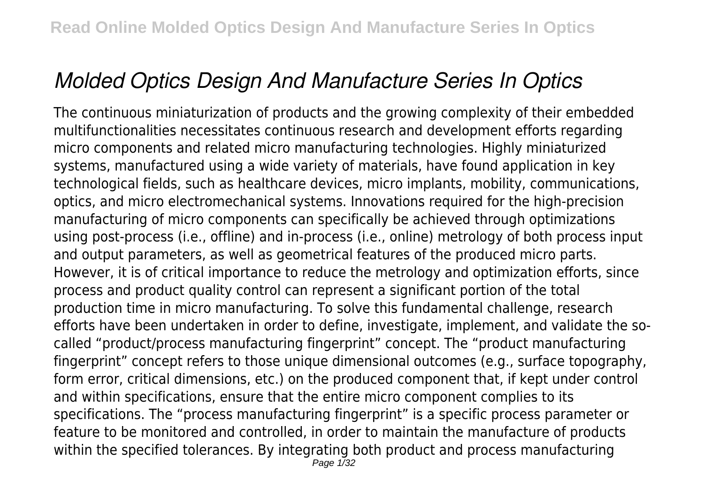# *Molded Optics Design And Manufacture Series In Optics*

The continuous miniaturization of products and the growing complexity of their embedded multifunctionalities necessitates continuous research and development efforts regarding micro components and related micro manufacturing technologies. Highly miniaturized systems, manufactured using a wide variety of materials, have found application in key technological fields, such as healthcare devices, micro implants, mobility, communications, optics, and micro electromechanical systems. Innovations required for the high-precision manufacturing of micro components can specifically be achieved through optimizations using post-process (i.e., offline) and in-process (i.e., online) metrology of both process input and output parameters, as well as geometrical features of the produced micro parts. However, it is of critical importance to reduce the metrology and optimization efforts, since process and product quality control can represent a significant portion of the total production time in micro manufacturing. To solve this fundamental challenge, research efforts have been undertaken in order to define, investigate, implement, and validate the socalled "product/process manufacturing fingerprint" concept. The "product manufacturing fingerprint" concept refers to those unique dimensional outcomes (e.g., surface topography, form error, critical dimensions, etc.) on the produced component that, if kept under control and within specifications, ensure that the entire micro component complies to its specifications. The "process manufacturing fingerprint" is a specific process parameter or feature to be monitored and controlled, in order to maintain the manufacture of products within the specified tolerances. By integrating both product and process manufacturing Page 1/32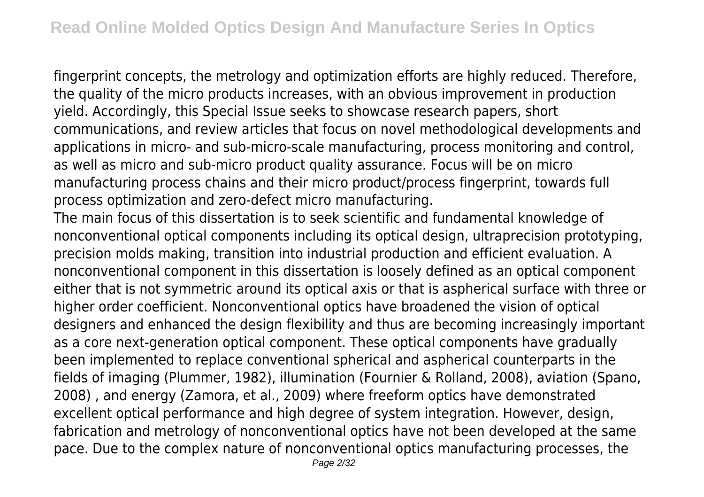fingerprint concepts, the metrology and optimization efforts are highly reduced. Therefore, the quality of the micro products increases, with an obvious improvement in production yield. Accordingly, this Special Issue seeks to showcase research papers, short communications, and review articles that focus on novel methodological developments and applications in micro- and sub-micro-scale manufacturing, process monitoring and control, as well as micro and sub-micro product quality assurance. Focus will be on micro manufacturing process chains and their micro product/process fingerprint, towards full process optimization and zero-defect micro manufacturing.

The main focus of this dissertation is to seek scientific and fundamental knowledge of nonconventional optical components including its optical design, ultraprecision prototyping, precision molds making, transition into industrial production and efficient evaluation. A nonconventional component in this dissertation is loosely defined as an optical component either that is not symmetric around its optical axis or that is aspherical surface with three or higher order coefficient. Nonconventional optics have broadened the vision of optical designers and enhanced the design flexibility and thus are becoming increasingly important as a core next-generation optical component. These optical components have gradually been implemented to replace conventional spherical and aspherical counterparts in the fields of imaging (Plummer, 1982), illumination (Fournier & Rolland, 2008), aviation (Spano, 2008) , and energy (Zamora, et al., 2009) where freeform optics have demonstrated excellent optical performance and high degree of system integration. However, design, fabrication and metrology of nonconventional optics have not been developed at the same pace. Due to the complex nature of nonconventional optics manufacturing processes, the Page 2/32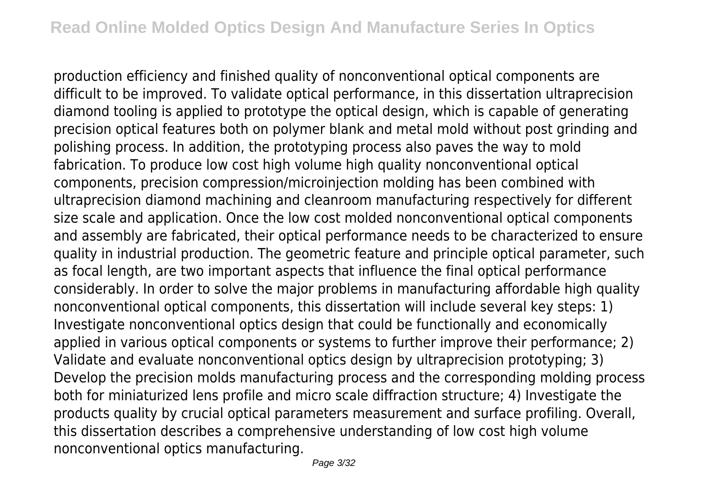production efficiency and finished quality of nonconventional optical components are difficult to be improved. To validate optical performance, in this dissertation ultraprecision diamond tooling is applied to prototype the optical design, which is capable of generating precision optical features both on polymer blank and metal mold without post grinding and polishing process. In addition, the prototyping process also paves the way to mold fabrication. To produce low cost high volume high quality nonconventional optical components, precision compression/microinjection molding has been combined with ultraprecision diamond machining and cleanroom manufacturing respectively for different size scale and application. Once the low cost molded nonconventional optical components and assembly are fabricated, their optical performance needs to be characterized to ensure quality in industrial production. The geometric feature and principle optical parameter, such as focal length, are two important aspects that influence the final optical performance considerably. In order to solve the major problems in manufacturing affordable high quality nonconventional optical components, this dissertation will include several key steps: 1) Investigate nonconventional optics design that could be functionally and economically applied in various optical components or systems to further improve their performance; 2) Validate and evaluate nonconventional optics design by ultraprecision prototyping; 3) Develop the precision molds manufacturing process and the corresponding molding process both for miniaturized lens profile and micro scale diffraction structure; 4) Investigate the products quality by crucial optical parameters measurement and surface profiling. Overall, this dissertation describes a comprehensive understanding of low cost high volume nonconventional optics manufacturing.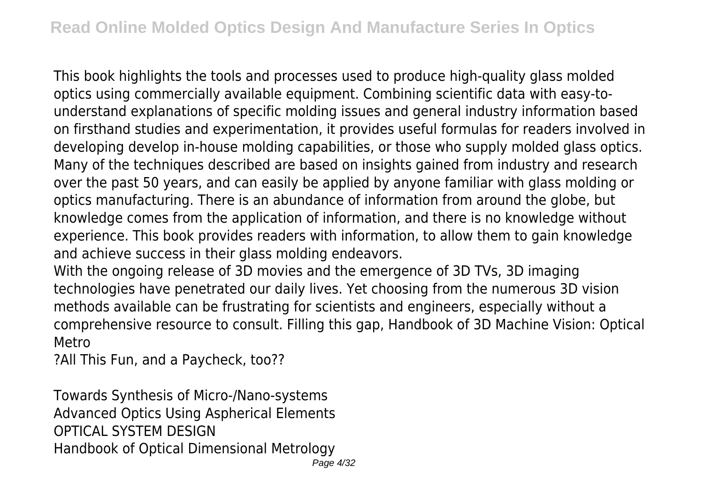This book highlights the tools and processes used to produce high-quality glass molded optics using commercially available equipment. Combining scientific data with easy-tounderstand explanations of specific molding issues and general industry information based on firsthand studies and experimentation, it provides useful formulas for readers involved in developing develop in-house molding capabilities, or those who supply molded glass optics. Many of the techniques described are based on insights gained from industry and research over the past 50 years, and can easily be applied by anyone familiar with glass molding or optics manufacturing. There is an abundance of information from around the globe, but knowledge comes from the application of information, and there is no knowledge without experience. This book provides readers with information, to allow them to gain knowledge and achieve success in their glass molding endeavors.

With the ongoing release of 3D movies and the emergence of 3D TVs, 3D imaging technologies have penetrated our daily lives. Yet choosing from the numerous 3D vision methods available can be frustrating for scientists and engineers, especially without a comprehensive resource to consult. Filling this gap, Handbook of 3D Machine Vision: Optical Metro

?All This Fun, and a Paycheck, too??

Towards Synthesis of Micro-/Nano-systems Advanced Optics Using Aspherical Elements OPTICAL SYSTEM DESIGN Handbook of Optical Dimensional Metrology Page 4/32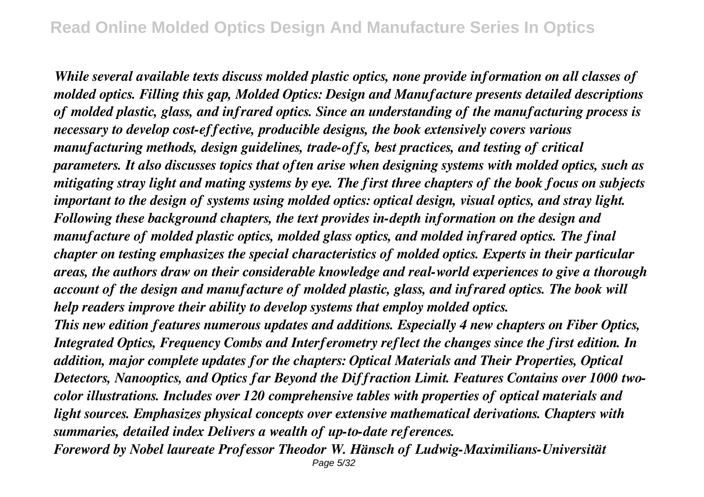*While several available texts discuss molded plastic optics, none provide information on all classes of molded optics. Filling this gap, Molded Optics: Design and Manufacture presents detailed descriptions of molded plastic, glass, and infrared optics. Since an understanding of the manufacturing process is necessary to develop cost-effective, producible designs, the book extensively covers various manufacturing methods, design guidelines, trade-offs, best practices, and testing of critical parameters. It also discusses topics that often arise when designing systems with molded optics, such as mitigating stray light and mating systems by eye. The first three chapters of the book focus on subjects important to the design of systems using molded optics: optical design, visual optics, and stray light. Following these background chapters, the text provides in-depth information on the design and manufacture of molded plastic optics, molded glass optics, and molded infrared optics. The final chapter on testing emphasizes the special characteristics of molded optics. Experts in their particular areas, the authors draw on their considerable knowledge and real-world experiences to give a thorough account of the design and manufacture of molded plastic, glass, and infrared optics. The book will help readers improve their ability to develop systems that employ molded optics.*

*This new edition features numerous updates and additions. Especially 4 new chapters on Fiber Optics, Integrated Optics, Frequency Combs and Interferometry reflect the changes since the first edition. In addition, major complete updates for the chapters: Optical Materials and Their Properties, Optical Detectors, Nanooptics, and Optics far Beyond the Diffraction Limit. Features Contains over 1000 twocolor illustrations. Includes over 120 comprehensive tables with properties of optical materials and light sources. Emphasizes physical concepts over extensive mathematical derivations. Chapters with summaries, detailed index Delivers a wealth of up-to-date references.*

*Foreword by Nobel laureate Professor Theodor W. Hänsch of Ludwig-Maximilians-Universität* Page 5/32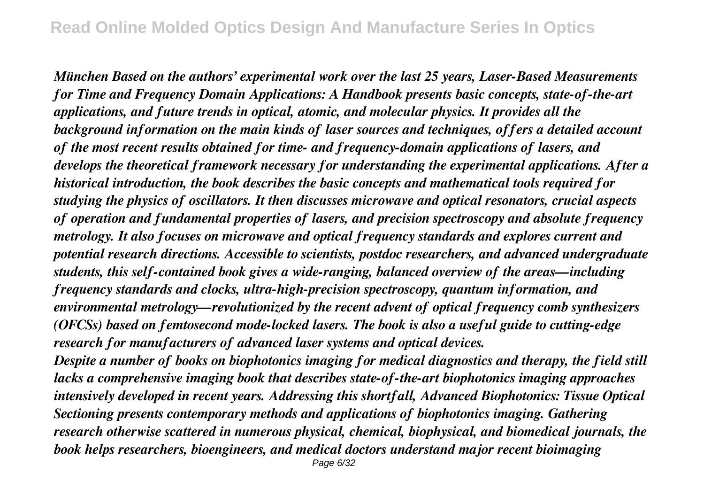*München Based on the authors' experimental work over the last 25 years, Laser-Based Measurements for Time and Frequency Domain Applications: A Handbook presents basic concepts, state-of-the-art applications, and future trends in optical, atomic, and molecular physics. It provides all the background information on the main kinds of laser sources and techniques, offers a detailed account of the most recent results obtained for time- and frequency-domain applications of lasers, and develops the theoretical framework necessary for understanding the experimental applications. After a historical introduction, the book describes the basic concepts and mathematical tools required for studying the physics of oscillators. It then discusses microwave and optical resonators, crucial aspects of operation and fundamental properties of lasers, and precision spectroscopy and absolute frequency metrology. It also focuses on microwave and optical frequency standards and explores current and potential research directions. Accessible to scientists, postdoc researchers, and advanced undergraduate students, this self-contained book gives a wide-ranging, balanced overview of the areas—including frequency standards and clocks, ultra-high-precision spectroscopy, quantum information, and environmental metrology—revolutionized by the recent advent of optical frequency comb synthesizers (OFCSs) based on femtosecond mode-locked lasers. The book is also a useful guide to cutting-edge research for manufacturers of advanced laser systems and optical devices.*

*Despite a number of books on biophotonics imaging for medical diagnostics and therapy, the field still lacks a comprehensive imaging book that describes state-of-the-art biophotonics imaging approaches intensively developed in recent years. Addressing this shortfall, Advanced Biophotonics: Tissue Optical Sectioning presents contemporary methods and applications of biophotonics imaging. Gathering research otherwise scattered in numerous physical, chemical, biophysical, and biomedical journals, the book helps researchers, bioengineers, and medical doctors understand major recent bioimaging*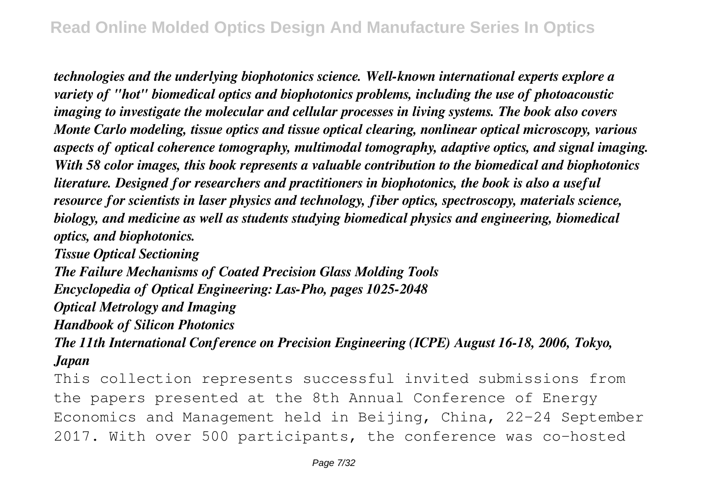*technologies and the underlying biophotonics science. Well-known international experts explore a variety of "hot" biomedical optics and biophotonics problems, including the use of photoacoustic imaging to investigate the molecular and cellular processes in living systems. The book also covers Monte Carlo modeling, tissue optics and tissue optical clearing, nonlinear optical microscopy, various aspects of optical coherence tomography, multimodal tomography, adaptive optics, and signal imaging. With 58 color images, this book represents a valuable contribution to the biomedical and biophotonics literature. Designed for researchers and practitioners in biophotonics, the book is also a useful resource for scientists in laser physics and technology, fiber optics, spectroscopy, materials science, biology, and medicine as well as students studying biomedical physics and engineering, biomedical optics, and biophotonics.*

*Tissue Optical Sectioning*

*The Failure Mechanisms of Coated Precision Glass Molding Tools Encyclopedia of Optical Engineering: Las-Pho, pages 1025-2048 Optical Metrology and Imaging Handbook of Silicon Photonics*

*The 11th International Conference on Precision Engineering (ICPE) August 16-18, 2006, Tokyo, Japan*

This collection represents successful invited submissions from the papers presented at the 8th Annual Conference of Energy Economics and Management held in Beijing, China, 22–24 September 2017. With over 500 participants, the conference was co-hosted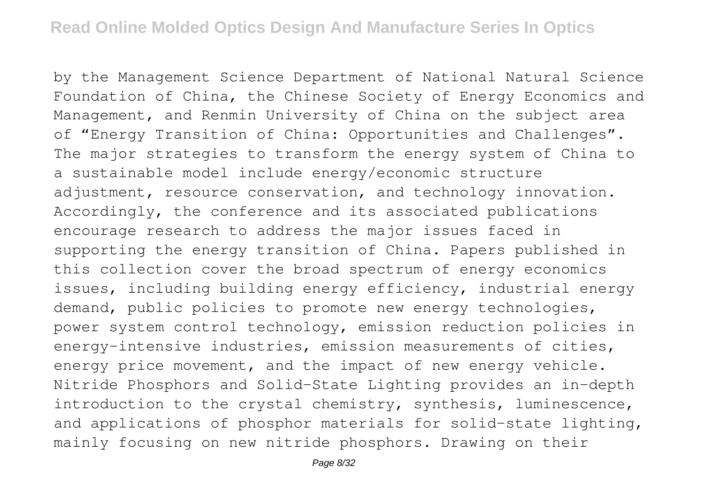by the Management Science Department of National Natural Science Foundation of China, the Chinese Society of Energy Economics and Management, and Renmin University of China on the subject area of "Energy Transition of China: Opportunities and Challenges". The major strategies to transform the energy system of China to a sustainable model include energy/economic structure adjustment, resource conservation, and technology innovation. Accordingly, the conference and its associated publications encourage research to address the major issues faced in supporting the energy transition of China. Papers published in this collection cover the broad spectrum of energy economics issues, including building energy efficiency, industrial energy demand, public policies to promote new energy technologies, power system control technology, emission reduction policies in energy-intensive industries, emission measurements of cities, energy price movement, and the impact of new energy vehicle. Nitride Phosphors and Solid-State Lighting provides an in-depth introduction to the crystal chemistry, synthesis, luminescence, and applications of phosphor materials for solid-state lighting, mainly focusing on new nitride phosphors. Drawing on their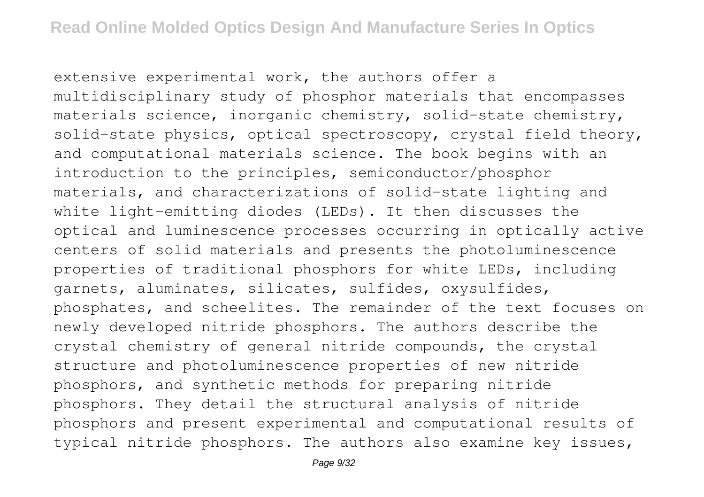extensive experimental work, the authors offer a multidisciplinary study of phosphor materials that encompasses materials science, inorganic chemistry, solid-state chemistry, solid-state physics, optical spectroscopy, crystal field theory, and computational materials science. The book begins with an introduction to the principles, semiconductor/phosphor materials, and characterizations of solid-state lighting and white light-emitting diodes (LEDs). It then discusses the optical and luminescence processes occurring in optically active centers of solid materials and presents the photoluminescence properties of traditional phosphors for white LEDs, including garnets, aluminates, silicates, sulfides, oxysulfides, phosphates, and scheelites. The remainder of the text focuses on newly developed nitride phosphors. The authors describe the crystal chemistry of general nitride compounds, the crystal structure and photoluminescence properties of new nitride phosphors, and synthetic methods for preparing nitride phosphors. They detail the structural analysis of nitride phosphors and present experimental and computational results of typical nitride phosphors. The authors also examine key issues,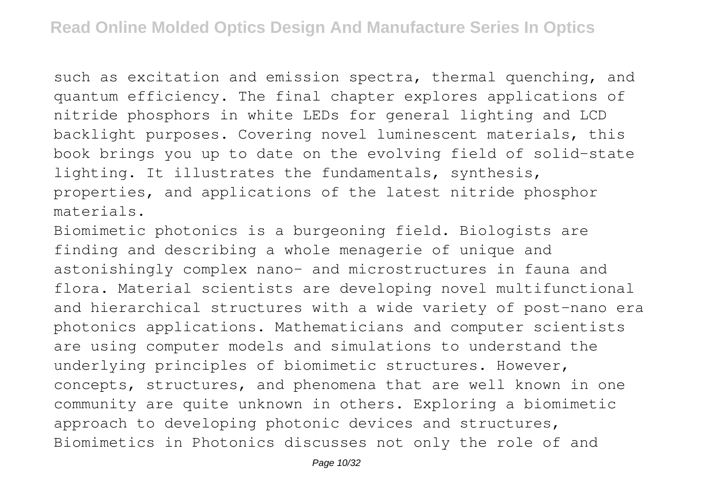such as excitation and emission spectra, thermal quenching, and quantum efficiency. The final chapter explores applications of nitride phosphors in white LEDs for general lighting and LCD backlight purposes. Covering novel luminescent materials, this book brings you up to date on the evolving field of solid-state lighting. It illustrates the fundamentals, synthesis, properties, and applications of the latest nitride phosphor materials.

Biomimetic photonics is a burgeoning field. Biologists are finding and describing a whole menagerie of unique and astonishingly complex nano- and microstructures in fauna and flora. Material scientists are developing novel multifunctional and hierarchical structures with a wide variety of post-nano era photonics applications. Mathematicians and computer scientists are using computer models and simulations to understand the underlying principles of biomimetic structures. However, concepts, structures, and phenomena that are well known in one community are quite unknown in others. Exploring a biomimetic approach to developing photonic devices and structures, Biomimetics in Photonics discusses not only the role of and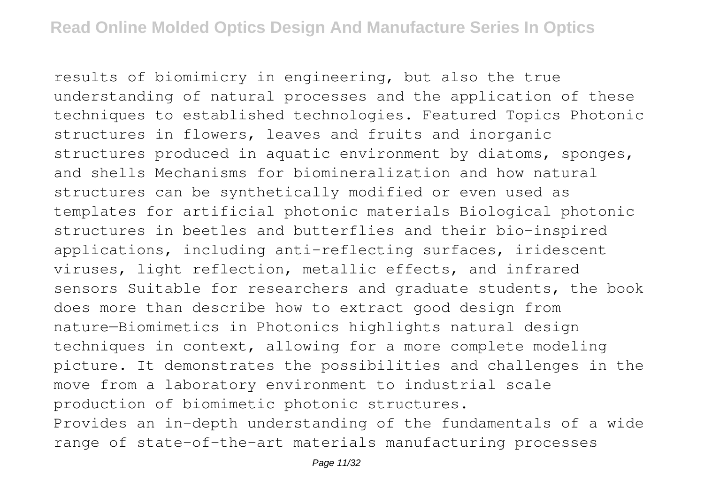results of biomimicry in engineering, but also the true understanding of natural processes and the application of these techniques to established technologies. Featured Topics Photonic structures in flowers, leaves and fruits and inorganic structures produced in aquatic environment by diatoms, sponges, and shells Mechanisms for biomineralization and how natural structures can be synthetically modified or even used as templates for artificial photonic materials Biological photonic structures in beetles and butterflies and their bio-inspired applications, including anti-reflecting surfaces, iridescent viruses, light reflection, metallic effects, and infrared sensors Suitable for researchers and graduate students, the book does more than describe how to extract good design from nature—Biomimetics in Photonics highlights natural design techniques in context, allowing for a more complete modeling picture. It demonstrates the possibilities and challenges in the move from a laboratory environment to industrial scale production of biomimetic photonic structures. Provides an in-depth understanding of the fundamentals of a wide range of state-of-the-art materials manufacturing processes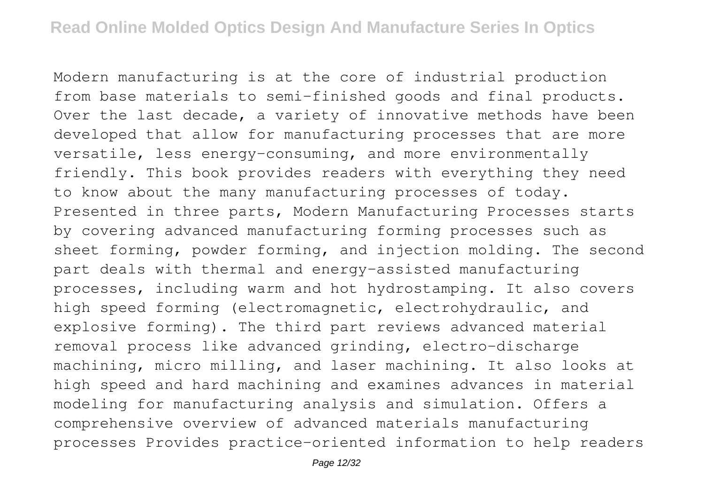Modern manufacturing is at the core of industrial production from base materials to semi-finished goods and final products. Over the last decade, a variety of innovative methods have been developed that allow for manufacturing processes that are more versatile, less energy-consuming, and more environmentally friendly. This book provides readers with everything they need to know about the many manufacturing processes of today. Presented in three parts, Modern Manufacturing Processes starts by covering advanced manufacturing forming processes such as sheet forming, powder forming, and injection molding. The second part deals with thermal and energy-assisted manufacturing processes, including warm and hot hydrostamping. It also covers high speed forming (electromagnetic, electrohydraulic, and explosive forming). The third part reviews advanced material removal process like advanced grinding, electro-discharge machining, micro milling, and laser machining. It also looks at high speed and hard machining and examines advances in material modeling for manufacturing analysis and simulation. Offers a comprehensive overview of advanced materials manufacturing processes Provides practice-oriented information to help readers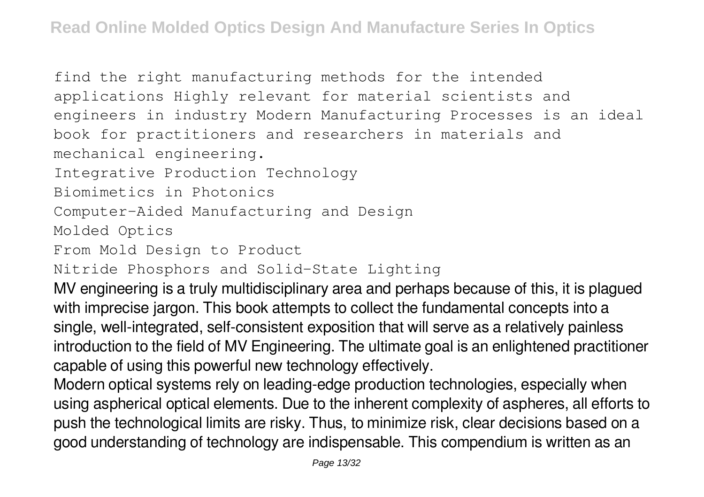find the right manufacturing methods for the intended applications Highly relevant for material scientists and engineers in industry Modern Manufacturing Processes is an ideal book for practitioners and researchers in materials and mechanical engineering.

Integrative Production Technology

Biomimetics in Photonics

Computer-Aided Manufacturing and Design

Molded Optics

From Mold Design to Product

Nitride Phosphors and Solid-State Lighting

MV engineering is a truly multidisciplinary area and perhaps because of this, it is plagued with imprecise jargon. This book attempts to collect the fundamental concepts into a single, well-integrated, self-consistent exposition that will serve as a relatively painless introduction to the field of MV Engineering. The ultimate goal is an enlightened practitioner capable of using this powerful new technology effectively.

Modern optical systems rely on leading-edge production technologies, especially when using aspherical optical elements. Due to the inherent complexity of aspheres, all efforts to push the technological limits are risky. Thus, to minimize risk, clear decisions based on a good understanding of technology are indispensable. This compendium is written as an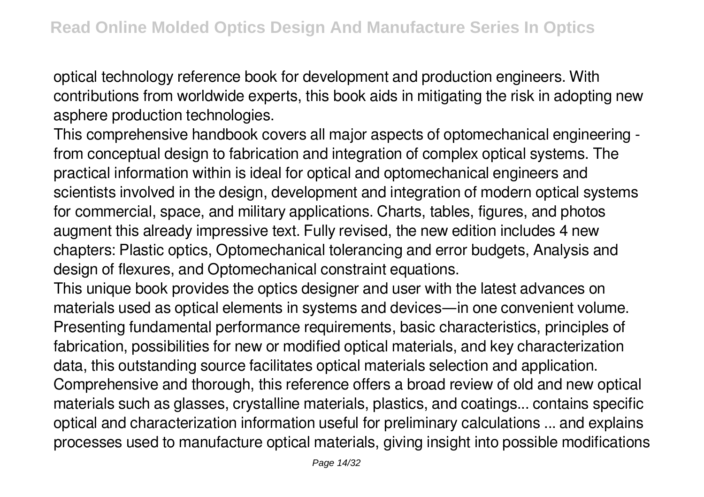optical technology reference book for development and production engineers. With contributions from worldwide experts, this book aids in mitigating the risk in adopting new asphere production technologies.

This comprehensive handbook covers all major aspects of optomechanical engineering from conceptual design to fabrication and integration of complex optical systems. The practical information within is ideal for optical and optomechanical engineers and scientists involved in the design, development and integration of modern optical systems for commercial, space, and military applications. Charts, tables, figures, and photos augment this already impressive text. Fully revised, the new edition includes 4 new chapters: Plastic optics, Optomechanical tolerancing and error budgets, Analysis and design of flexures, and Optomechanical constraint equations.

This unique book provides the optics designer and user with the latest advances on materials used as optical elements in systems and devices—in one convenient volume. Presenting fundamental performance requirements, basic characteristics, principles of fabrication, possibilities for new or modified optical materials, and key characterization data, this outstanding source facilitates optical materials selection and application. Comprehensive and thorough, this reference offers a broad review of old and new optical materials such as glasses, crystalline materials, plastics, and coatings... contains specific optical and characterization information useful for preliminary calculations ... and explains processes used to manufacture optical materials, giving insight into possible modifications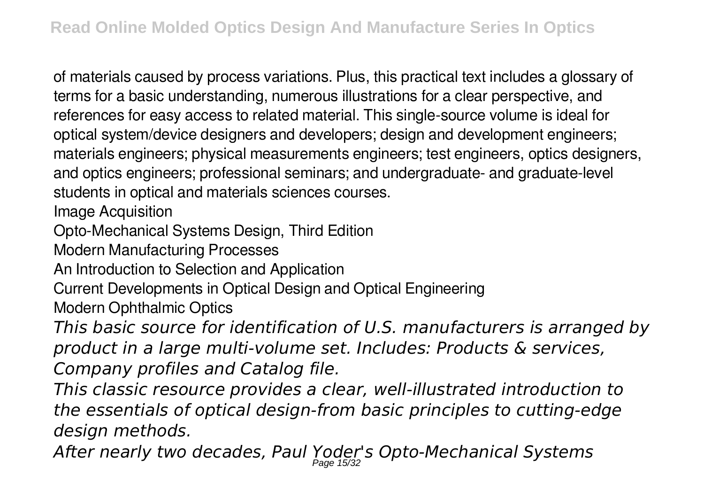of materials caused by process variations. Plus, this practical text includes a glossary of terms for a basic understanding, numerous illustrations for a clear perspective, and references for easy access to related material. This single-source volume is ideal for optical system/device designers and developers; design and development engineers; materials engineers; physical measurements engineers; test engineers, optics designers, and optics engineers; professional seminars; and undergraduate- and graduate-level students in optical and materials sciences courses.

Image Acquisition

Opto-Mechanical Systems Design, Third Edition

Modern Manufacturing Processes

An Introduction to Selection and Application

Current Developments in Optical Design and Optical Engineering

Modern Ophthalmic Optics

*This basic source for identification of U.S. manufacturers is arranged by product in a large multi-volume set. Includes: Products & services, Company profiles and Catalog file.*

*This classic resource provides a clear, well-illustrated introduction to the essentials of optical design-from basic principles to cutting-edge design methods.*

*After nearly two decades, Paul Yoder's Opto-Mechanical Systems* Page 15/32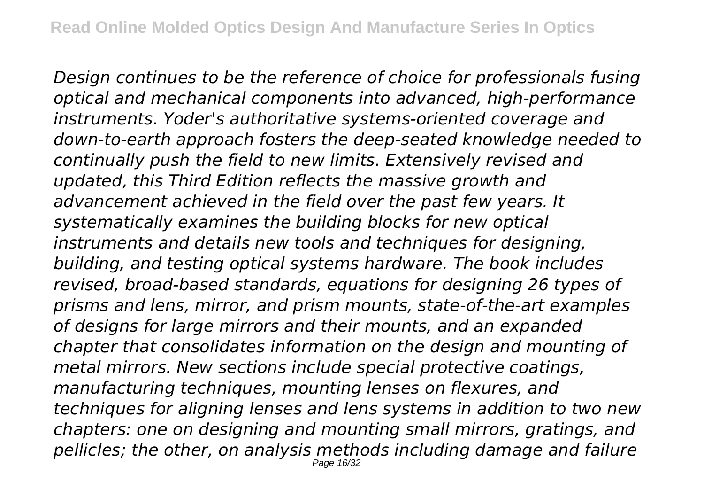*Design continues to be the reference of choice for professionals fusing optical and mechanical components into advanced, high-performance instruments. Yoder's authoritative systems-oriented coverage and down-to-earth approach fosters the deep-seated knowledge needed to continually push the field to new limits. Extensively revised and updated, this Third Edition reflects the massive growth and advancement achieved in the field over the past few years. It systematically examines the building blocks for new optical instruments and details new tools and techniques for designing, building, and testing optical systems hardware. The book includes revised, broad-based standards, equations for designing 26 types of prisms and lens, mirror, and prism mounts, state-of-the-art examples of designs for large mirrors and their mounts, and an expanded chapter that consolidates information on the design and mounting of metal mirrors. New sections include special protective coatings, manufacturing techniques, mounting lenses on flexures, and techniques for aligning lenses and lens systems in addition to two new chapters: one on designing and mounting small mirrors, gratings, and pellicles; the other, on analysis methods including damage and failure* Page 16/32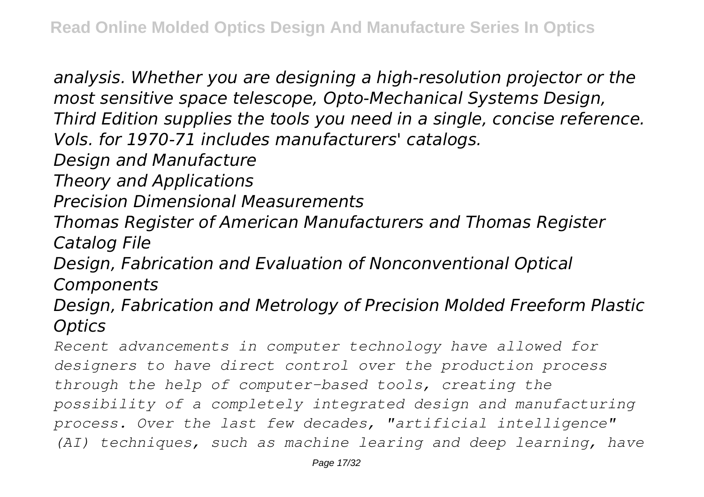*analysis. Whether you are designing a high-resolution projector or the most sensitive space telescope, Opto-Mechanical Systems Design, Third Edition supplies the tools you need in a single, concise reference. Vols. for 1970-71 includes manufacturers' catalogs. Design and Manufacture Theory and Applications Precision Dimensional Measurements Thomas Register of American Manufacturers and Thomas Register Catalog File Design, Fabrication and Evaluation of Nonconventional Optical Components Design, Fabrication and Metrology of Precision Molded Freeform Plastic Optics Recent advancements in computer technology have allowed for designers to have direct control over the production process through the help of computer-based tools, creating the possibility of a completely integrated design and manufacturing process. Over the last few decades, "artificial intelligence" (AI) techniques, such as machine learing and deep learning, have*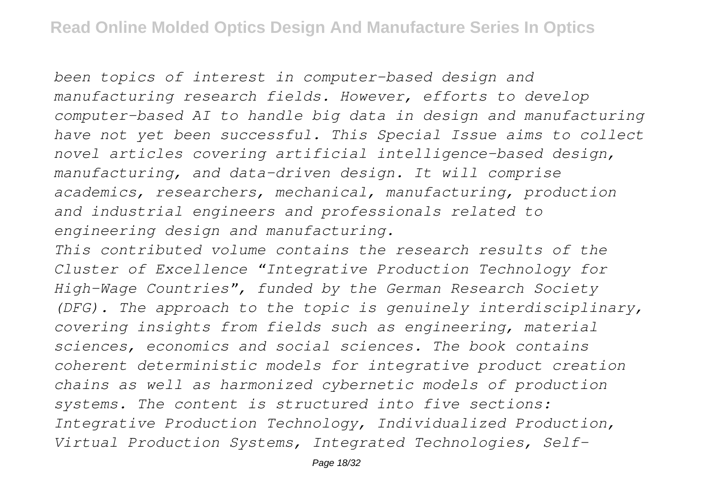*been topics of interest in computer-based design and manufacturing research fields. However, efforts to develop computer-based AI to handle big data in design and manufacturing have not yet been successful. This Special Issue aims to collect novel articles covering artificial intelligence-based design, manufacturing, and data-driven design. It will comprise academics, researchers, mechanical, manufacturing, production and industrial engineers and professionals related to engineering design and manufacturing.*

*This contributed volume contains the research results of the Cluster of Excellence "Integrative Production Technology for High-Wage Countries", funded by the German Research Society (DFG). The approach to the topic is genuinely interdisciplinary, covering insights from fields such as engineering, material sciences, economics and social sciences. The book contains coherent deterministic models for integrative product creation chains as well as harmonized cybernetic models of production systems. The content is structured into five sections: Integrative Production Technology, Individualized Production, Virtual Production Systems, Integrated Technologies, Self-*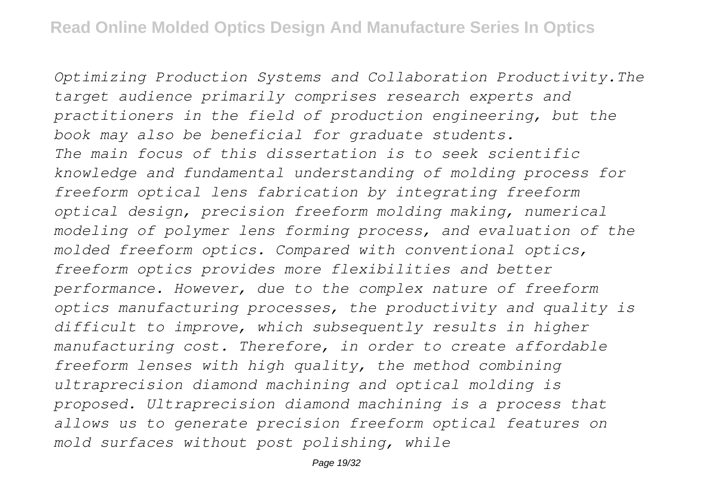*Optimizing Production Systems and Collaboration Productivity.The target audience primarily comprises research experts and practitioners in the field of production engineering, but the book may also be beneficial for graduate students. The main focus of this dissertation is to seek scientific knowledge and fundamental understanding of molding process for freeform optical lens fabrication by integrating freeform optical design, precision freeform molding making, numerical modeling of polymer lens forming process, and evaluation of the molded freeform optics. Compared with conventional optics, freeform optics provides more flexibilities and better performance. However, due to the complex nature of freeform optics manufacturing processes, the productivity and quality is difficult to improve, which subsequently results in higher manufacturing cost. Therefore, in order to create affordable freeform lenses with high quality, the method combining ultraprecision diamond machining and optical molding is proposed. Ultraprecision diamond machining is a process that allows us to generate precision freeform optical features on mold surfaces without post polishing, while*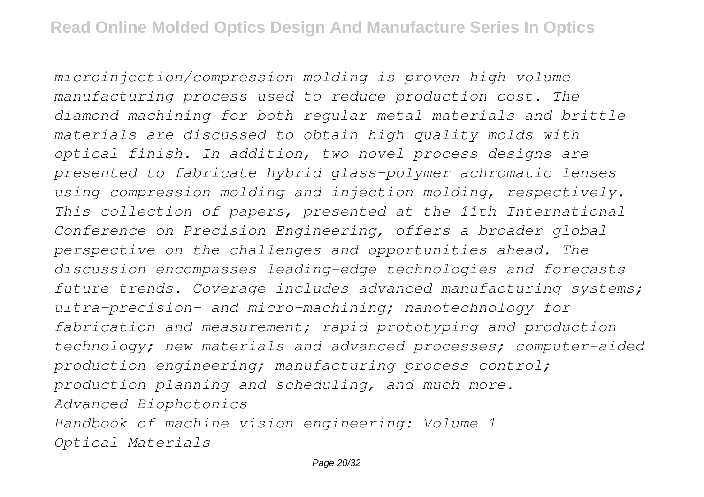*microinjection/compression molding is proven high volume manufacturing process used to reduce production cost. The diamond machining for both regular metal materials and brittle materials are discussed to obtain high quality molds with optical finish. In addition, two novel process designs are presented to fabricate hybrid glass-polymer achromatic lenses using compression molding and injection molding, respectively. This collection of papers, presented at the 11th International Conference on Precision Engineering, offers a broader global perspective on the challenges and opportunities ahead. The discussion encompasses leading-edge technologies and forecasts future trends. Coverage includes advanced manufacturing systems; ultra-precision- and micro-machining; nanotechnology for fabrication and measurement; rapid prototyping and production technology; new materials and advanced processes; computer-aided production engineering; manufacturing process control; production planning and scheduling, and much more. Advanced Biophotonics Handbook of machine vision engineering: Volume 1 Optical Materials*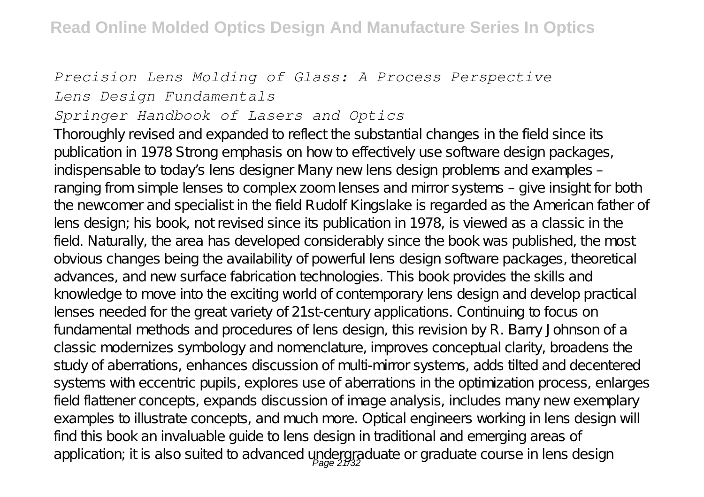#### *Precision Lens Molding of Glass: A Process Perspective Lens Design Fundamentals*

#### *Springer Handbook of Lasers and Optics*

Thoroughly revised and expanded to reflect the substantial changes in the field since its publication in 1978 Strong emphasis on how to effectively use software design packages, indispensable to today's lens designer Many new lens design problems and examples – ranging from simple lenses to complex zoom lenses and mirror systems – give insight for both the newcomer and specialist in the field Rudolf Kingslake is regarded as the American father of lens design; his book, not revised since its publication in 1978, is viewed as a classic in the field. Naturally, the area has developed considerably since the book was published, the most obvious changes being the availability of powerful lens design software packages, theoretical advances, and new surface fabrication technologies. This book provides the skills and knowledge to move into the exciting world of contemporary lens design and develop practical lenses needed for the great variety of 21st-century applications. Continuing to focus on fundamental methods and procedures of lens design, this revision by R. Barry Johnson of a classic modernizes symbology and nomenclature, improves conceptual clarity, broadens the study of aberrations, enhances discussion of multi-mirror systems, adds tilted and decentered systems with eccentric pupils, explores use of aberrations in the optimization process, enlarges field flattener concepts, expands discussion of image analysis, includes many new exemplary examples to illustrate concepts, and much more. Optical engineers working in lens design will find this book an invaluable guide to lens design in traditional and emerging areas of application; it is also suited to advanced undergraduate or graduate course in lens design<br>Page 21/32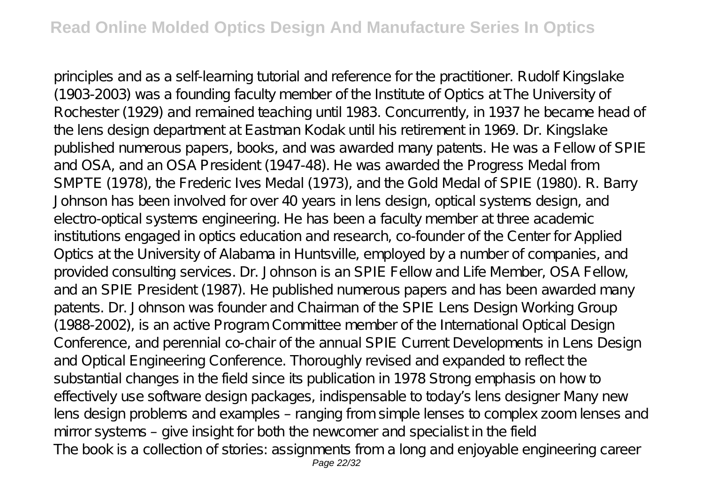principles and as a self-learning tutorial and reference for the practitioner. Rudolf Kingslake (1903-2003) was a founding faculty member of the Institute of Optics at The University of Rochester (1929) and remained teaching until 1983. Concurrently, in 1937 he became head of the lens design department at Eastman Kodak until his retirement in 1969. Dr. Kingslake published numerous papers, books, and was awarded many patents. He was a Fellow of SPIE and OSA, and an OSA President (1947-48). He was awarded the Progress Medal from SMPTE (1978), the Frederic Ives Medal (1973), and the Gold Medal of SPIE (1980). R. Barry Johnson has been involved for over 40 years in lens design, optical systems design, and electro-optical systems engineering. He has been a faculty member at three academic institutions engaged in optics education and research, co-founder of the Center for Applied Optics at the University of Alabama in Huntsville, employed by a number of companies, and provided consulting services. Dr. Johnson is an SPIE Fellow and Life Member, OSA Fellow, and an SPIE President (1987). He published numerous papers and has been awarded many patents. Dr. Johnson was founder and Chairman of the SPIE Lens Design Working Group (1988-2002), is an active Program Committee member of the International Optical Design Conference, and perennial co-chair of the annual SPIE Current Developments in Lens Design and Optical Engineering Conference. Thoroughly revised and expanded to reflect the substantial changes in the field since its publication in 1978 Strong emphasis on how to effectively use software design packages, indispensable to today's lens designer Many new lens design problems and examples – ranging from simple lenses to complex zoom lenses and mirror systems – give insight for both the newcomer and specialist in the field The book is a collection of stories: assignments from a long and enjoyable engineering career Page 22/32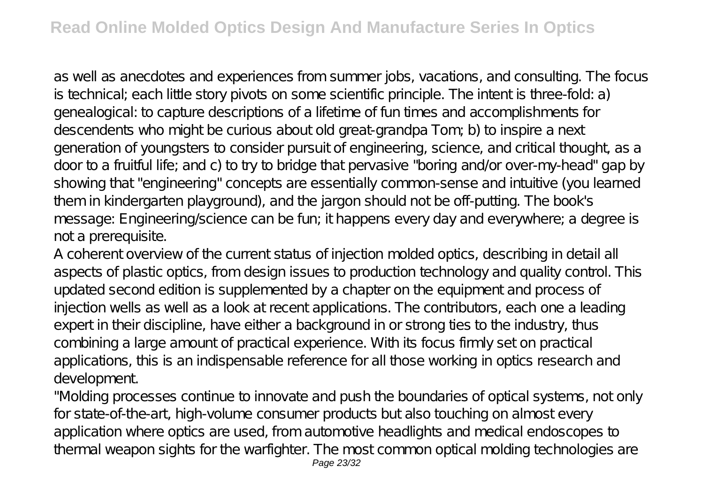as well as anecdotes and experiences from summer jobs, vacations, and consulting. The focus is technical; each little story pivots on some scientific principle. The intent is three-fold: a) genealogical: to capture descriptions of a lifetime of fun times and accomplishments for descendents who might be curious about old great-grandpa Tom; b) to inspire a next generation of youngsters to consider pursuit of engineering, science, and critical thought, as a door to a fruitful life; and c) to try to bridge that pervasive "boring and/or over-my-head" gap by showing that "engineering" concepts are essentially common-sense and intuitive (you learned them in kindergarten playground), and the jargon should not be off-putting. The book's message: Engineering/science can be fun; it happens every day and everywhere; a degree is not a prerequisite.

A coherent overview of the current status of injection molded optics, describing in detail all aspects of plastic optics, from design issues to production technology and quality control. This updated second edition is supplemented by a chapter on the equipment and process of injection wells as well as a look at recent applications. The contributors, each one a leading expert in their discipline, have either a background in or strong ties to the industry, thus combining a large amount of practical experience. With its focus firmly set on practical applications, this is an indispensable reference for all those working in optics research and development.

"Molding processes continue to innovate and push the boundaries of optical systems, not only for state-of-the-art, high-volume consumer products but also touching on almost every application where optics are used, from automotive headlights and medical endoscopes to thermal weapon sights for the warfighter. The most common optical molding technologies are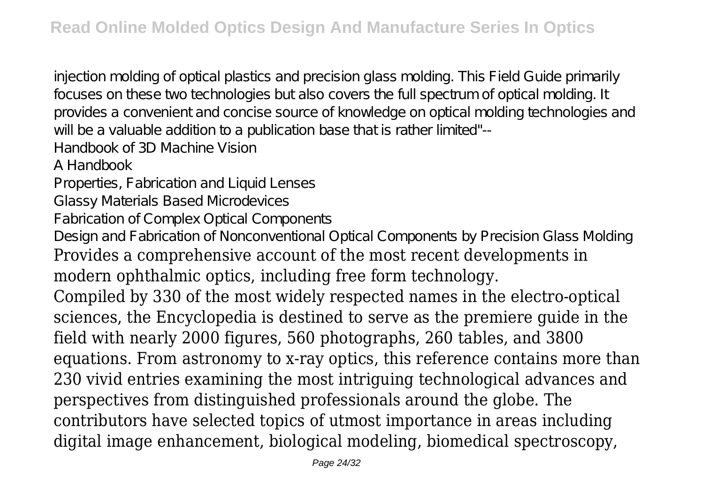injection molding of optical plastics and precision glass molding. This Field Guide primarily focuses on these two technologies but also covers the full spectrum of optical molding. It provides a convenient and concise source of knowledge on optical molding technologies and will be a valuable addition to a publication base that is rather limited"--Handbook of 3D Machine Vision A Handbook Properties, Fabrication and Liquid Lenses Glassy Materials Based Microdevices Fabrication of Complex Optical Components Design and Fabrication of Nonconventional Optical Components by Precision Glass Molding Provides a comprehensive account of the most recent developments in modern ophthalmic optics, including free form technology. Compiled by 330 of the most widely respected names in the electro-optical sciences, the Encyclopedia is destined to serve as the premiere guide in the field with nearly 2000 figures, 560 photographs, 260 tables, and 3800 equations. From astronomy to x-ray optics, this reference contains more than 230 vivid entries examining the most intriguing technological advances and perspectives from distinguished professionals around the globe. The contributors have selected topics of utmost importance in areas including digital image enhancement, biological modeling, biomedical spectroscopy,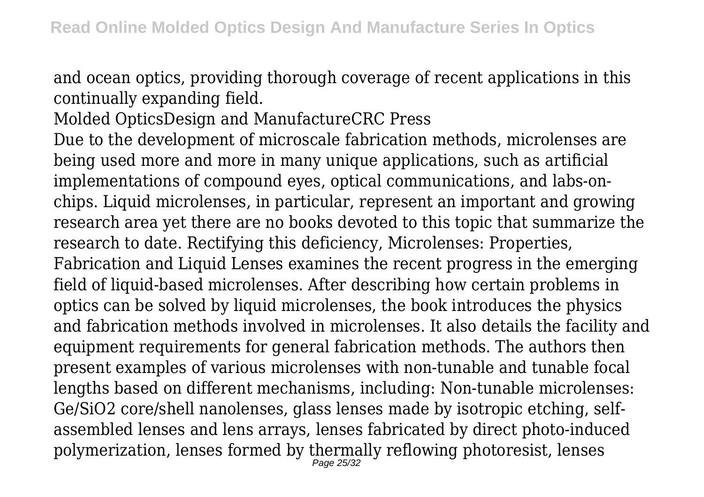and ocean optics, providing thorough coverage of recent applications in this continually expanding field.

Molded OpticsDesign and ManufactureCRC Press

Due to the development of microscale fabrication methods, microlenses are being used more and more in many unique applications, such as artificial implementations of compound eyes, optical communications, and labs-onchips. Liquid microlenses, in particular, represent an important and growing research area yet there are no books devoted to this topic that summarize the research to date. Rectifying this deficiency, Microlenses: Properties, Fabrication and Liquid Lenses examines the recent progress in the emerging field of liquid-based microlenses. After describing how certain problems in optics can be solved by liquid microlenses, the book introduces the physics and fabrication methods involved in microlenses. It also details the facility and equipment requirements for general fabrication methods. The authors then present examples of various microlenses with non-tunable and tunable focal lengths based on different mechanisms, including: Non-tunable microlenses: Ge/SiO2 core/shell nanolenses, glass lenses made by isotropic etching, selfassembled lenses and lens arrays, lenses fabricated by direct photo-induced polymerization, lenses formed by thermally reflowing photoresist, lenses Page 25/32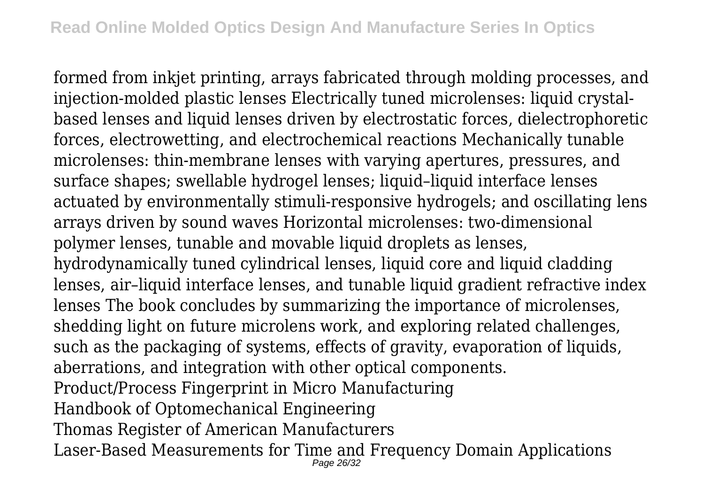formed from inkjet printing, arrays fabricated through molding processes, and injection-molded plastic lenses Electrically tuned microlenses: liquid crystalbased lenses and liquid lenses driven by electrostatic forces, dielectrophoretic forces, electrowetting, and electrochemical reactions Mechanically tunable microlenses: thin-membrane lenses with varying apertures, pressures, and surface shapes; swellable hydrogel lenses; liquid–liquid interface lenses actuated by environmentally stimuli-responsive hydrogels; and oscillating lens arrays driven by sound waves Horizontal microlenses: two-dimensional polymer lenses, tunable and movable liquid droplets as lenses, hydrodynamically tuned cylindrical lenses, liquid core and liquid cladding lenses, air–liquid interface lenses, and tunable liquid gradient refractive index lenses The book concludes by summarizing the importance of microlenses, shedding light on future microlens work, and exploring related challenges, such as the packaging of systems, effects of gravity, evaporation of liquids, aberrations, and integration with other optical components. Product/Process Fingerprint in Micro Manufacturing Handbook of Optomechanical Engineering Thomas Register of American Manufacturers Laser-Based Measurements for Time and Frequency Domain Applications Page 26/32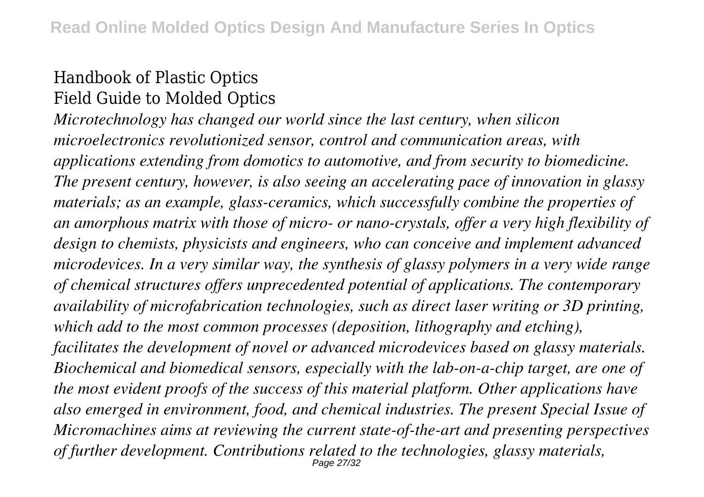### Handbook of Plastic Optics Field Guide to Molded Optics

*Microtechnology has changed our world since the last century, when silicon microelectronics revolutionized sensor, control and communication areas, with applications extending from domotics to automotive, and from security to biomedicine. The present century, however, is also seeing an accelerating pace of innovation in glassy materials; as an example, glass-ceramics, which successfully combine the properties of an amorphous matrix with those of micro- or nano-crystals, offer a very high flexibility of design to chemists, physicists and engineers, who can conceive and implement advanced microdevices. In a very similar way, the synthesis of glassy polymers in a very wide range of chemical structures offers unprecedented potential of applications. The contemporary availability of microfabrication technologies, such as direct laser writing or 3D printing, which add to the most common processes (deposition, lithography and etching), facilitates the development of novel or advanced microdevices based on glassy materials. Biochemical and biomedical sensors, especially with the lab-on-a-chip target, are one of the most evident proofs of the success of this material platform. Other applications have also emerged in environment, food, and chemical industries. The present Special Issue of Micromachines aims at reviewing the current state-of-the-art and presenting perspectives of further development. Contributions related to the technologies, glassy materials,* Page 27/32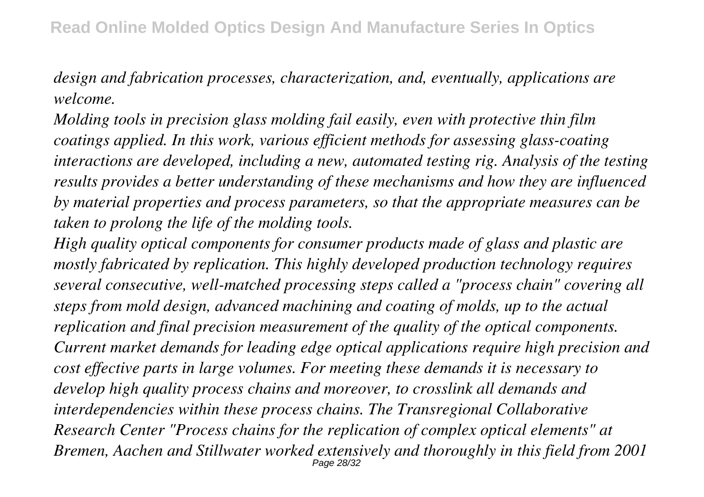*design and fabrication processes, characterization, and, eventually, applications are welcome.*

*Molding tools in precision glass molding fail easily, even with protective thin film coatings applied. In this work, various efficient methods for assessing glass-coating interactions are developed, including a new, automated testing rig. Analysis of the testing results provides a better understanding of these mechanisms and how they are influenced by material properties and process parameters, so that the appropriate measures can be taken to prolong the life of the molding tools.*

*High quality optical components for consumer products made of glass and plastic are mostly fabricated by replication. This highly developed production technology requires several consecutive, well-matched processing steps called a "process chain" covering all steps from mold design, advanced machining and coating of molds, up to the actual replication and final precision measurement of the quality of the optical components. Current market demands for leading edge optical applications require high precision and cost effective parts in large volumes. For meeting these demands it is necessary to develop high quality process chains and moreover, to crosslink all demands and interdependencies within these process chains. The Transregional Collaborative Research Center "Process chains for the replication of complex optical elements" at Bremen, Aachen and Stillwater worked extensively and thoroughly in this field from 2001* Page 28/32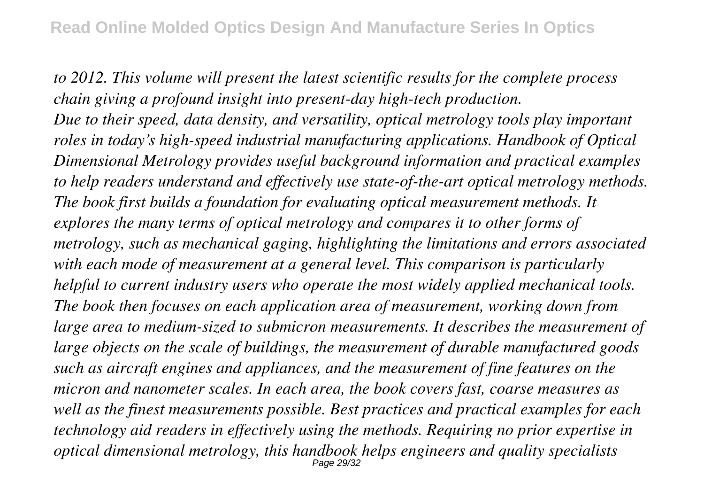*to 2012. This volume will present the latest scientific results for the complete process chain giving a profound insight into present-day high-tech production. Due to their speed, data density, and versatility, optical metrology tools play important roles in today's high-speed industrial manufacturing applications. Handbook of Optical Dimensional Metrology provides useful background information and practical examples to help readers understand and effectively use state-of-the-art optical metrology methods. The book first builds a foundation for evaluating optical measurement methods. It explores the many terms of optical metrology and compares it to other forms of metrology, such as mechanical gaging, highlighting the limitations and errors associated with each mode of measurement at a general level. This comparison is particularly helpful to current industry users who operate the most widely applied mechanical tools. The book then focuses on each application area of measurement, working down from large area to medium-sized to submicron measurements. It describes the measurement of large objects on the scale of buildings, the measurement of durable manufactured goods such as aircraft engines and appliances, and the measurement of fine features on the micron and nanometer scales. In each area, the book covers fast, coarse measures as well as the finest measurements possible. Best practices and practical examples for each technology aid readers in effectively using the methods. Requiring no prior expertise in optical dimensional metrology, this handbook helps engineers and quality specialists* Page 29/32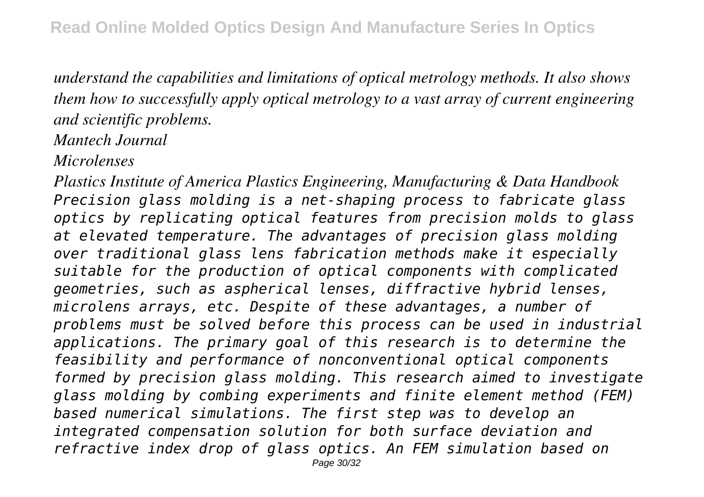*understand the capabilities and limitations of optical metrology methods. It also shows them how to successfully apply optical metrology to a vast array of current engineering and scientific problems.*

## *Mantech Journal*

*Microlenses*

*Plastics Institute of America Plastics Engineering, Manufacturing & Data Handbook Precision glass molding is a net-shaping process to fabricate glass optics by replicating optical features from precision molds to glass at elevated temperature. The advantages of precision glass molding over traditional glass lens fabrication methods make it especially suitable for the production of optical components with complicated geometries, such as aspherical lenses, diffractive hybrid lenses, microlens arrays, etc. Despite of these advantages, a number of problems must be solved before this process can be used in industrial applications. The primary goal of this research is to determine the feasibility and performance of nonconventional optical components formed by precision glass molding. This research aimed to investigate glass molding by combing experiments and finite element method (FEM) based numerical simulations. The first step was to develop an integrated compensation solution for both surface deviation and refractive index drop of glass optics. An FEM simulation based on* Page 30/32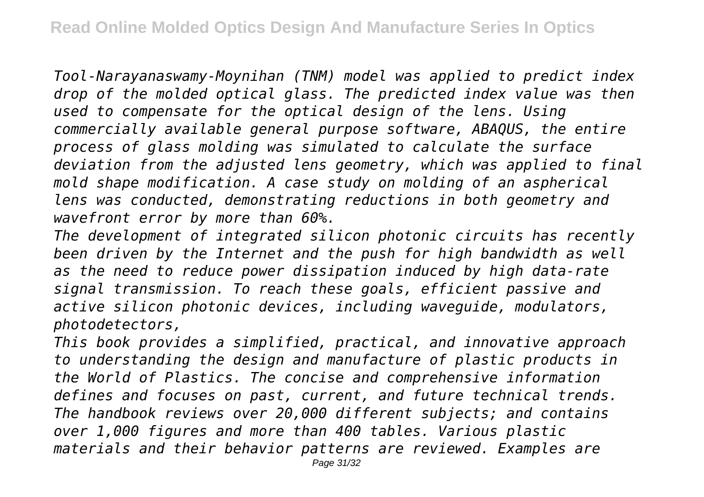*Tool-Narayanaswamy-Moynihan (TNM) model was applied to predict index drop of the molded optical glass. The predicted index value was then used to compensate for the optical design of the lens. Using commercially available general purpose software, ABAQUS, the entire process of glass molding was simulated to calculate the surface deviation from the adjusted lens geometry, which was applied to final mold shape modification. A case study on molding of an aspherical lens was conducted, demonstrating reductions in both geometry and wavefront error by more than 60%.*

*The development of integrated silicon photonic circuits has recently been driven by the Internet and the push for high bandwidth as well as the need to reduce power dissipation induced by high data-rate signal transmission. To reach these goals, efficient passive and active silicon photonic devices, including waveguide, modulators, photodetectors,*

*This book provides a simplified, practical, and innovative approach to understanding the design and manufacture of plastic products in the World of Plastics. The concise and comprehensive information defines and focuses on past, current, and future technical trends. The handbook reviews over 20,000 different subjects; and contains over 1,000 figures and more than 400 tables. Various plastic materials and their behavior patterns are reviewed. Examples are*